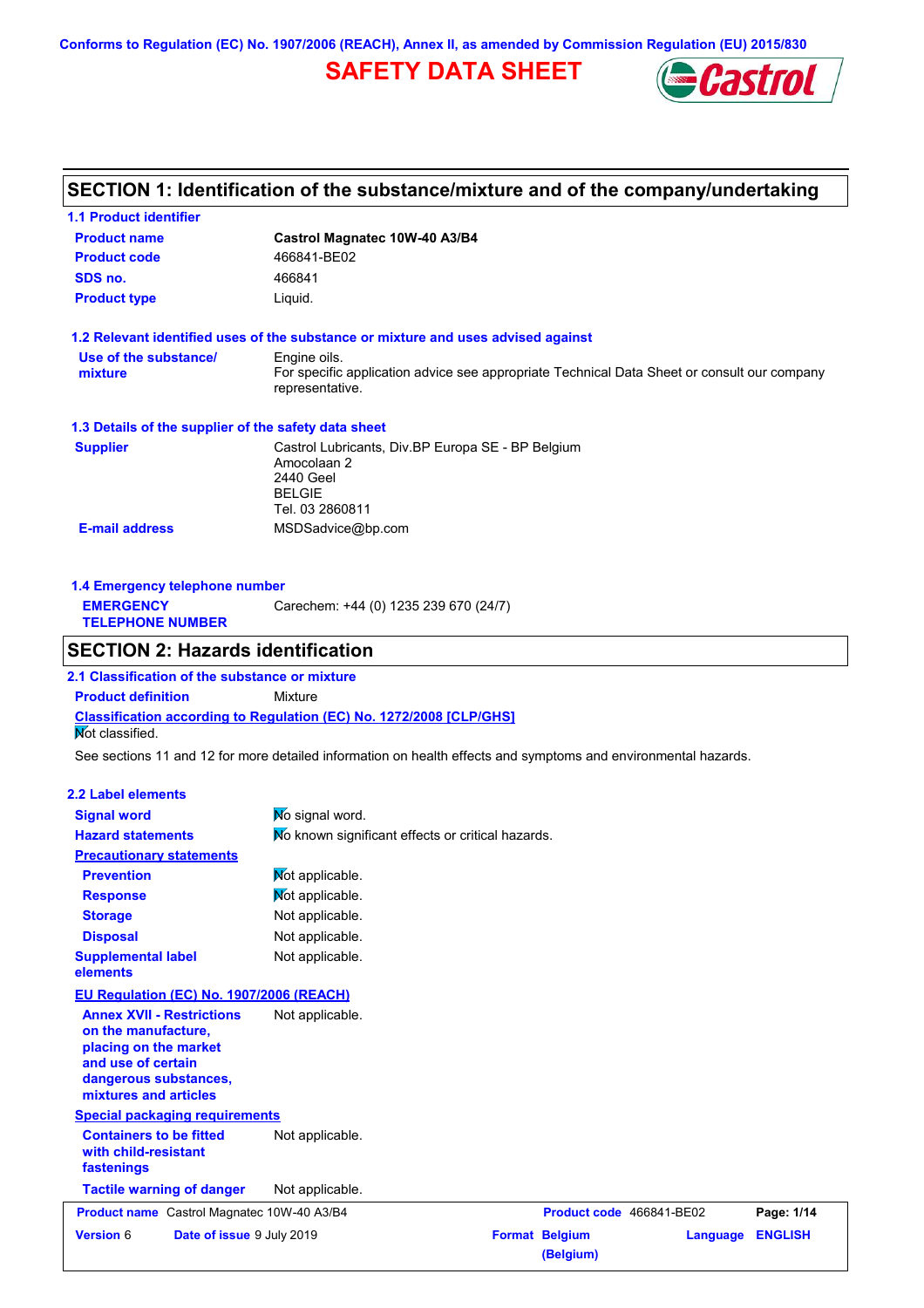# **SAFETY DATA SHEET**



# **SECTION 1: Identification of the substance/mixture and of the company/undertaking**

| <b>1.1 Product identifier</b>                                                                                                                            |                                                                                                                                |                                    |                 |                |
|----------------------------------------------------------------------------------------------------------------------------------------------------------|--------------------------------------------------------------------------------------------------------------------------------|------------------------------------|-----------------|----------------|
| <b>Product name</b>                                                                                                                                      | Castrol Magnatec 10W-40 A3/B4                                                                                                  |                                    |                 |                |
| <b>Product code</b>                                                                                                                                      | 466841-BE02                                                                                                                    |                                    |                 |                |
| SDS no.                                                                                                                                                  | 466841                                                                                                                         |                                    |                 |                |
| <b>Product type</b>                                                                                                                                      | Liquid.                                                                                                                        |                                    |                 |                |
|                                                                                                                                                          | 1.2 Relevant identified uses of the substance or mixture and uses advised against                                              |                                    |                 |                |
| Use of the substance/<br>mixture                                                                                                                         | Engine oils.<br>For specific application advice see appropriate Technical Data Sheet or consult our company<br>representative. |                                    |                 |                |
| 1.3 Details of the supplier of the safety data sheet                                                                                                     |                                                                                                                                |                                    |                 |                |
| <b>Supplier</b>                                                                                                                                          | Castrol Lubricants, Div.BP Europa SE - BP Belgium<br>Amocolaan 2<br>2440 Geel<br><b>BELGIE</b><br>Tel. 03 2860811              |                                    |                 |                |
| <b>E-mail address</b>                                                                                                                                    | MSDSadvice@bp.com                                                                                                              |                                    |                 |                |
| 1.4 Emergency telephone number<br><b>EMERGENCY</b><br><b>TELEPHONE NUMBER</b>                                                                            | Carechem: +44 (0) 1235 239 670 (24/7)                                                                                          |                                    |                 |                |
| <b>SECTION 2: Hazards identification</b>                                                                                                                 |                                                                                                                                |                                    |                 |                |
| 2.1 Classification of the substance or mixture                                                                                                           |                                                                                                                                |                                    |                 |                |
| <b>Product definition</b>                                                                                                                                | Mixture                                                                                                                        |                                    |                 |                |
| Not classified.                                                                                                                                          | Classification according to Regulation (EC) No. 1272/2008 [CLP/GHS]                                                            |                                    |                 |                |
|                                                                                                                                                          | See sections 11 and 12 for more detailed information on health effects and symptoms and environmental hazards.                 |                                    |                 |                |
|                                                                                                                                                          |                                                                                                                                |                                    |                 |                |
| <b>2.2 Label elements</b>                                                                                                                                |                                                                                                                                |                                    |                 |                |
| <b>Signal word</b>                                                                                                                                       | No signal word.                                                                                                                |                                    |                 |                |
| <b>Hazard statements</b>                                                                                                                                 | Mo known significant effects or critical hazards.                                                                              |                                    |                 |                |
| <b>Precautionary statements</b>                                                                                                                          |                                                                                                                                |                                    |                 |                |
| <b>Prevention</b>                                                                                                                                        | Not applicable.                                                                                                                |                                    |                 |                |
| <b>Response</b>                                                                                                                                          | Mot applicable.                                                                                                                |                                    |                 |                |
| <b>Storage</b>                                                                                                                                           | Not applicable.                                                                                                                |                                    |                 |                |
| <b>Disposal</b>                                                                                                                                          | Not applicable.                                                                                                                |                                    |                 |                |
| <b>Supplemental label</b><br>elements                                                                                                                    | Not applicable.                                                                                                                |                                    |                 |                |
| EU Regulation (EC) No. 1907/2006 (REACH)                                                                                                                 |                                                                                                                                |                                    |                 |                |
| <b>Annex XVII - Restrictions</b><br>on the manufacture,<br>placing on the market<br>and use of certain<br>dangerous substances,<br>mixtures and articles | Not applicable.                                                                                                                |                                    |                 |                |
| <b>Special packaging requirements</b>                                                                                                                    |                                                                                                                                |                                    |                 |                |
| <b>Containers to be fitted</b><br>with child-resistant<br>fastenings                                                                                     | Not applicable.                                                                                                                |                                    |                 |                |
| <b>Tactile warning of danger</b>                                                                                                                         | Not applicable.                                                                                                                |                                    |                 |                |
| Product name Castrol Magnatec 10W-40 A3/B4                                                                                                               |                                                                                                                                | Product code 466841-BE02           |                 | Page: 1/14     |
| <b>Version 6</b><br>Date of issue 9 July 2019                                                                                                            |                                                                                                                                | <b>Format Belgium</b><br>(Belgium) | <b>Language</b> | <b>ENGLISH</b> |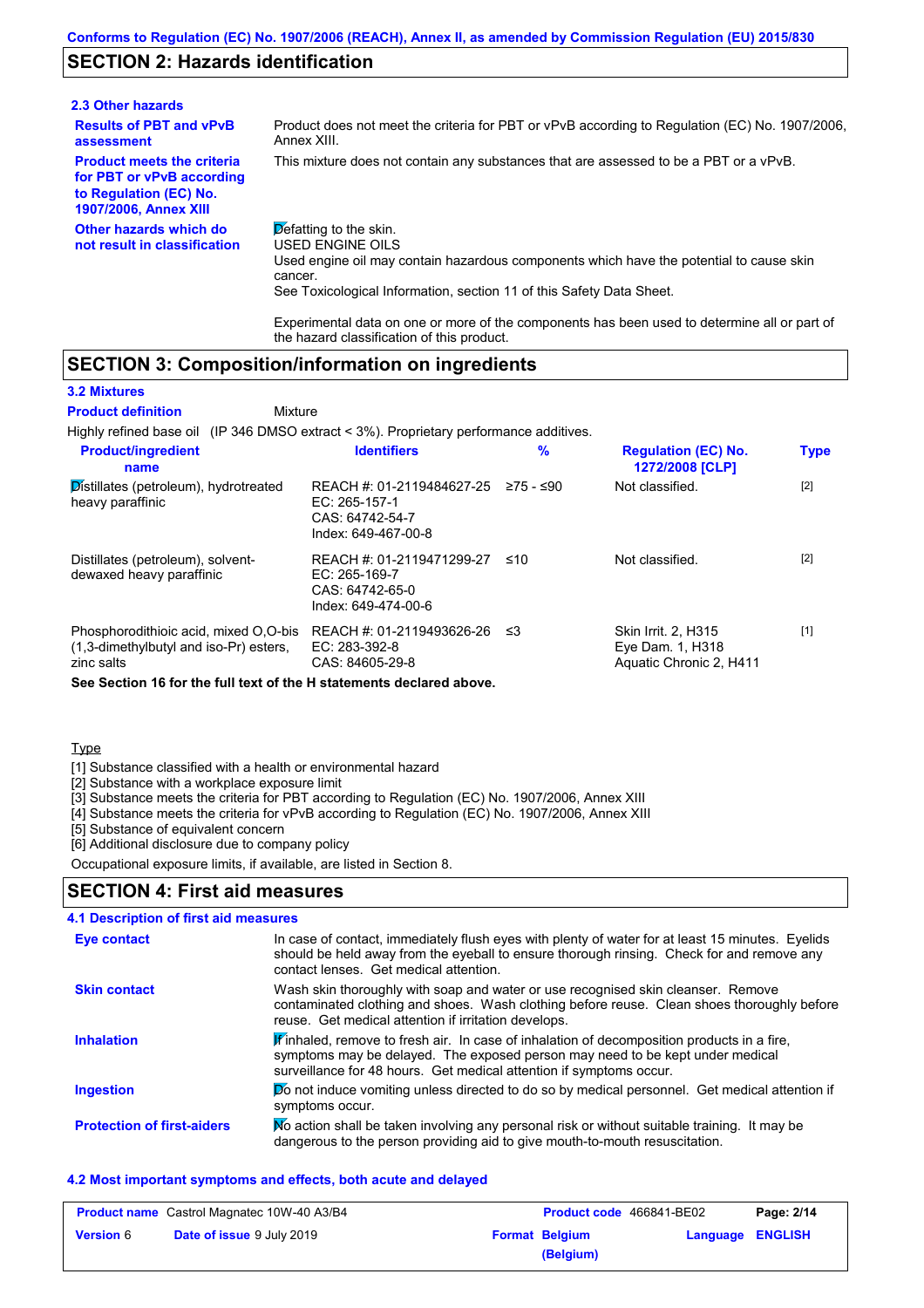# **SECTION 2: Hazards identification**

| 2.3 Other hazards                                                                                                        |                                                                                                                                                                                                                                                                                                                                                                        |
|--------------------------------------------------------------------------------------------------------------------------|------------------------------------------------------------------------------------------------------------------------------------------------------------------------------------------------------------------------------------------------------------------------------------------------------------------------------------------------------------------------|
| <b>Results of PBT and vPvB</b><br>assessment                                                                             | Product does not meet the criteria for PBT or vPvB according to Regulation (EC) No. 1907/2006,<br>Annex XIII.                                                                                                                                                                                                                                                          |
| <b>Product meets the criteria</b><br>for PBT or vPvB according<br>to Regulation (EC) No.<br><b>1907/2006, Annex XIII</b> | This mixture does not contain any substances that are assessed to be a PBT or a vPvB.                                                                                                                                                                                                                                                                                  |
| Other hazards which do<br>not result in classification                                                                   | Defatting to the skin.<br>USED ENGINE OILS<br>Used engine oil may contain hazardous components which have the potential to cause skin<br>cancer.<br>See Toxicological Information, section 11 of this Safety Data Sheet.<br>Experimental data on one or more of the components has been used to determine all or part of<br>the hazard classification of this product. |

## **SECTION 3: Composition/information on ingredients**

Mixture

#### **3.2 Mixtures**

**Product definition**

| Highly refined base oil (IP 346 DMSO extract < 3%). Proprietary performance additives.        |                                                                                        |           |                                                                    |             |
|-----------------------------------------------------------------------------------------------|----------------------------------------------------------------------------------------|-----------|--------------------------------------------------------------------|-------------|
| <b>Product/ingredient</b><br>name                                                             | <b>Identifiers</b>                                                                     | $\%$      | <b>Regulation (EC) No.</b><br>1272/2008 [CLP]                      | <b>Type</b> |
| Distillates (petroleum), hydrotreated<br>heavy paraffinic                                     | REACH #: 01-2119484627-25<br>EC: $265-157-1$<br>CAS: 64742-54-7<br>Index: 649-467-00-8 | ≥75 - ≤90 | Not classified.                                                    | $[2]$       |
| Distillates (petroleum), solvent-<br>dewaxed heavy paraffinic                                 | REACH #: 01-2119471299-27<br>EC: $265-169-7$<br>CAS: 64742-65-0<br>Index: 649-474-00-6 | ≤10       | Not classified.                                                    | $[2]$       |
| Phosphorodithioic acid, mixed O.O-bis<br>(1,3-dimethylbutyl and iso-Pr) esters,<br>zinc salts | REACH #: 01-2119493626-26<br>EC: 283-392-8<br>CAS: 84605-29-8                          | ≤3        | Skin Irrit. 2. H315<br>Eye Dam. 1, H318<br>Aquatic Chronic 2, H411 | $[1]$       |
| Osa Osatian dO fantha full taut af tha 11 atatamanta dealanad ahaus.                          |                                                                                        |           |                                                                    |             |

**See Section 16 for the full text of the H statements declared above.**

## **Type**

[1] Substance classified with a health or environmental hazard

[2] Substance with a workplace exposure limit

[3] Substance meets the criteria for PBT according to Regulation (EC) No. 1907/2006, Annex XIII

[4] Substance meets the criteria for vPvB according to Regulation (EC) No. 1907/2006, Annex XIII

[5] Substance of equivalent concern

[6] Additional disclosure due to company policy

Occupational exposure limits, if available, are listed in Section 8.

## **SECTION 4: First aid measures**

| 4.1 Description of first aid measures |                                                                                                                                                                                                                                                   |
|---------------------------------------|---------------------------------------------------------------------------------------------------------------------------------------------------------------------------------------------------------------------------------------------------|
| <b>Eye contact</b>                    | In case of contact, immediately flush eyes with plenty of water for at least 15 minutes. Eyelids<br>should be held away from the eyeball to ensure thorough rinsing. Check for and remove any<br>contact lenses. Get medical attention.           |
| <b>Skin contact</b>                   | Wash skin thoroughly with soap and water or use recognised skin cleanser. Remove<br>contaminated clothing and shoes. Wash clothing before reuse. Clean shoes thoroughly before<br>reuse. Get medical attention if irritation develops.            |
| <b>Inhalation</b>                     | Finhaled, remove to fresh air. In case of inhalation of decomposition products in a fire,<br>symptoms may be delayed. The exposed person may need to be kept under medical<br>surveillance for 48 hours. Get medical attention if symptoms occur. |
| <b>Ingestion</b>                      | Do not induce vomiting unless directed to do so by medical personnel. Get medical attention if<br>symptoms occur.                                                                                                                                 |
| <b>Protection of first-aiders</b>     | No action shall be taken involving any personal risk or without suitable training. It may be<br>dangerous to the person providing aid to give mouth-to-mouth resuscitation.                                                                       |

### **4.2 Most important symptoms and effects, both acute and delayed**

| <b>Product name</b> Castrol Magnatec 10W-40 A3/B4 |                                  | <b>Product code</b> 466841-BE02 |                       | Page: 2/14              |  |
|---------------------------------------------------|----------------------------------|---------------------------------|-----------------------|-------------------------|--|
| <b>Version 6</b>                                  | <b>Date of issue 9 July 2019</b> |                                 | <b>Format Belgium</b> | <b>Language ENGLISH</b> |  |
|                                                   |                                  |                                 | (Belgium)             |                         |  |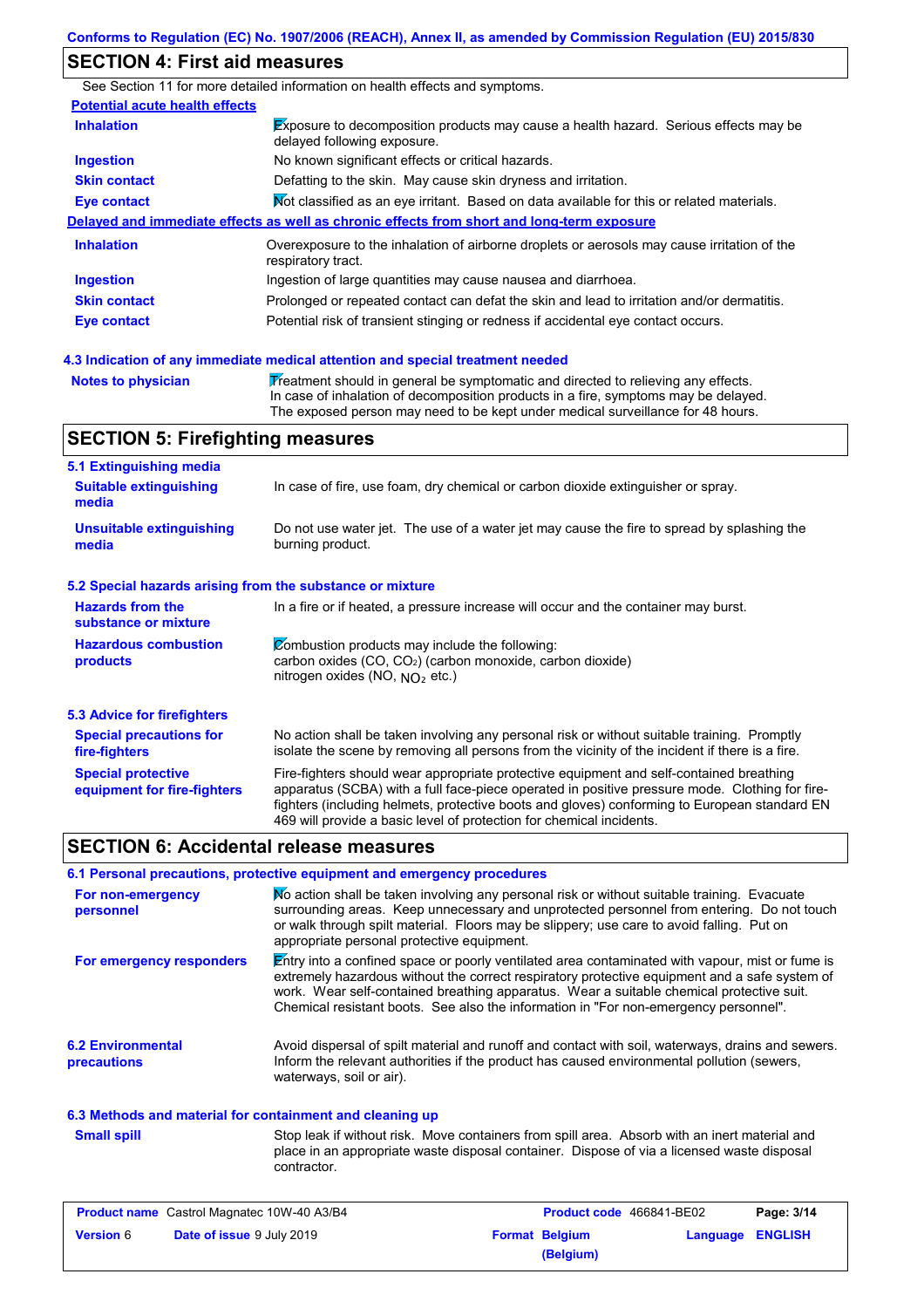## **SECTION 4: First aid measures**

|                                       | See Section 11 for more detailed information on health effects and symptoms.                                               |  |  |
|---------------------------------------|----------------------------------------------------------------------------------------------------------------------------|--|--|
| <b>Potential acute health effects</b> |                                                                                                                            |  |  |
| <b>Inhalation</b>                     | <b>Exposure to decomposition products may cause a health hazard. Serious effects may be</b><br>delayed following exposure. |  |  |
| <b>Ingestion</b>                      | No known significant effects or critical hazards.                                                                          |  |  |
| <b>Skin contact</b>                   | Defatting to the skin. May cause skin dryness and irritation.                                                              |  |  |
| <b>Eye contact</b>                    | Mot classified as an eye irritant. Based on data available for this or related materials.                                  |  |  |
|                                       | Delayed and immediate effects as well as chronic effects from short and long-term exposure                                 |  |  |
| <b>Inhalation</b>                     | Overexposure to the inhalation of airborne droplets or aerosols may cause irritation of the<br>respiratory tract.          |  |  |
| <b>Ingestion</b>                      | Ingestion of large quantities may cause nausea and diarrhoea.                                                              |  |  |
| <b>Skin contact</b>                   | Prolonged or repeated contact can defat the skin and lead to irritation and/or dermatitis.                                 |  |  |
| Eye contact                           | Potential risk of transient stinging or redness if accidental eye contact occurs.                                          |  |  |
|                                       |                                                                                                                            |  |  |

**4.3 Indication of any immediate medical attention and special treatment needed**

Notes to physician **Treatment should in general be symptomatic and directed to relieving any effects.** In case of inhalation of decomposition products in a fire, symptoms may be delayed. The exposed person may need to be kept under medical surveillance for 48 hours.

## **SECTION 5: Firefighting measures**

| 5.1 Extinguishing media                                                                                                                                                                                 |                                                                                                                                                                                                                                                                                                                                                                   |  |
|---------------------------------------------------------------------------------------------------------------------------------------------------------------------------------------------------------|-------------------------------------------------------------------------------------------------------------------------------------------------------------------------------------------------------------------------------------------------------------------------------------------------------------------------------------------------------------------|--|
| <b>Suitable extinguishing</b><br>media                                                                                                                                                                  | In case of fire, use foam, dry chemical or carbon dioxide extinguisher or spray.                                                                                                                                                                                                                                                                                  |  |
| <b>Unsuitable extinguishing</b><br>Do not use water jet. The use of a water jet may cause the fire to spread by splashing the<br>burning product.<br>media                                              |                                                                                                                                                                                                                                                                                                                                                                   |  |
| 5.2 Special hazards arising from the substance or mixture                                                                                                                                               |                                                                                                                                                                                                                                                                                                                                                                   |  |
| <b>Hazards from the</b><br>In a fire or if heated, a pressure increase will occur and the container may burst.<br>substance or mixture                                                                  |                                                                                                                                                                                                                                                                                                                                                                   |  |
| Combustion products may include the following:<br><b>Hazardous combustion</b><br>carbon oxides (CO, CO <sub>2</sub> ) (carbon monoxide, carbon dioxide)<br>products<br>nitrogen oxides (NO, $NO2$ etc.) |                                                                                                                                                                                                                                                                                                                                                                   |  |
| 5.3 Advice for firefighters                                                                                                                                                                             |                                                                                                                                                                                                                                                                                                                                                                   |  |
| <b>Special precautions for</b><br>fire-fighters                                                                                                                                                         | No action shall be taken involving any personal risk or without suitable training. Promptly<br>isolate the scene by removing all persons from the vicinity of the incident if there is a fire.                                                                                                                                                                    |  |
| <b>Special protective</b><br>equipment for fire-fighters                                                                                                                                                | Fire-fighters should wear appropriate protective equipment and self-contained breathing<br>apparatus (SCBA) with a full face-piece operated in positive pressure mode. Clothing for fire-<br>fighters (including helmets, protective boots and gloves) conforming to European standard EN<br>469 will provide a basic level of protection for chemical incidents. |  |

## **SECTION 6: Accidental release measures**

#### **6.1 Personal precautions, protective equipment and emergency procedures**

| For non-emergency<br>personnel          | No action shall be taken involving any personal risk or without suitable training. Evacuate<br>surrounding areas. Keep unnecessary and unprotected personnel from entering. Do not touch<br>or walk through spilt material. Floors may be slippery; use care to avoid falling. Put on<br>appropriate personal protective equipment.                                                             |
|-----------------------------------------|-------------------------------------------------------------------------------------------------------------------------------------------------------------------------------------------------------------------------------------------------------------------------------------------------------------------------------------------------------------------------------------------------|
| For emergency responders                | $\mathbb E$ ntry into a confined space or poorly ventilated area contaminated with vapour, mist or fume is<br>extremely hazardous without the correct respiratory protective equipment and a safe system of<br>work. Wear self-contained breathing apparatus. Wear a suitable chemical protective suit.<br>Chemical resistant boots. See also the information in "For non-emergency personnel". |
| <b>6.2 Environmental</b><br>precautions | Avoid dispersal of spilt material and runoff and contact with soil, waterways, drains and sewers.<br>Inform the relevant authorities if the product has caused environmental pollution (sewers,<br>waterways, soil or air).                                                                                                                                                                     |

#### **6.3 Methods and material for containment and cleaning up**

**Small spill**

Stop leak if without risk. Move containers from spill area. Absorb with an inert material and place in an appropriate waste disposal container. Dispose of via a licensed waste disposal contractor.

| <b>Product name</b> Castrol Magnatec 10W-40 A3/B4 |                                  | <b>Product code</b> 466841-BE02 |                       | Page: 3/14              |  |
|---------------------------------------------------|----------------------------------|---------------------------------|-----------------------|-------------------------|--|
| <b>Version 6</b>                                  | <b>Date of issue 9 July 2019</b> |                                 | <b>Format Belgium</b> | <b>Language ENGLISH</b> |  |
|                                                   |                                  |                                 | (Belgium)             |                         |  |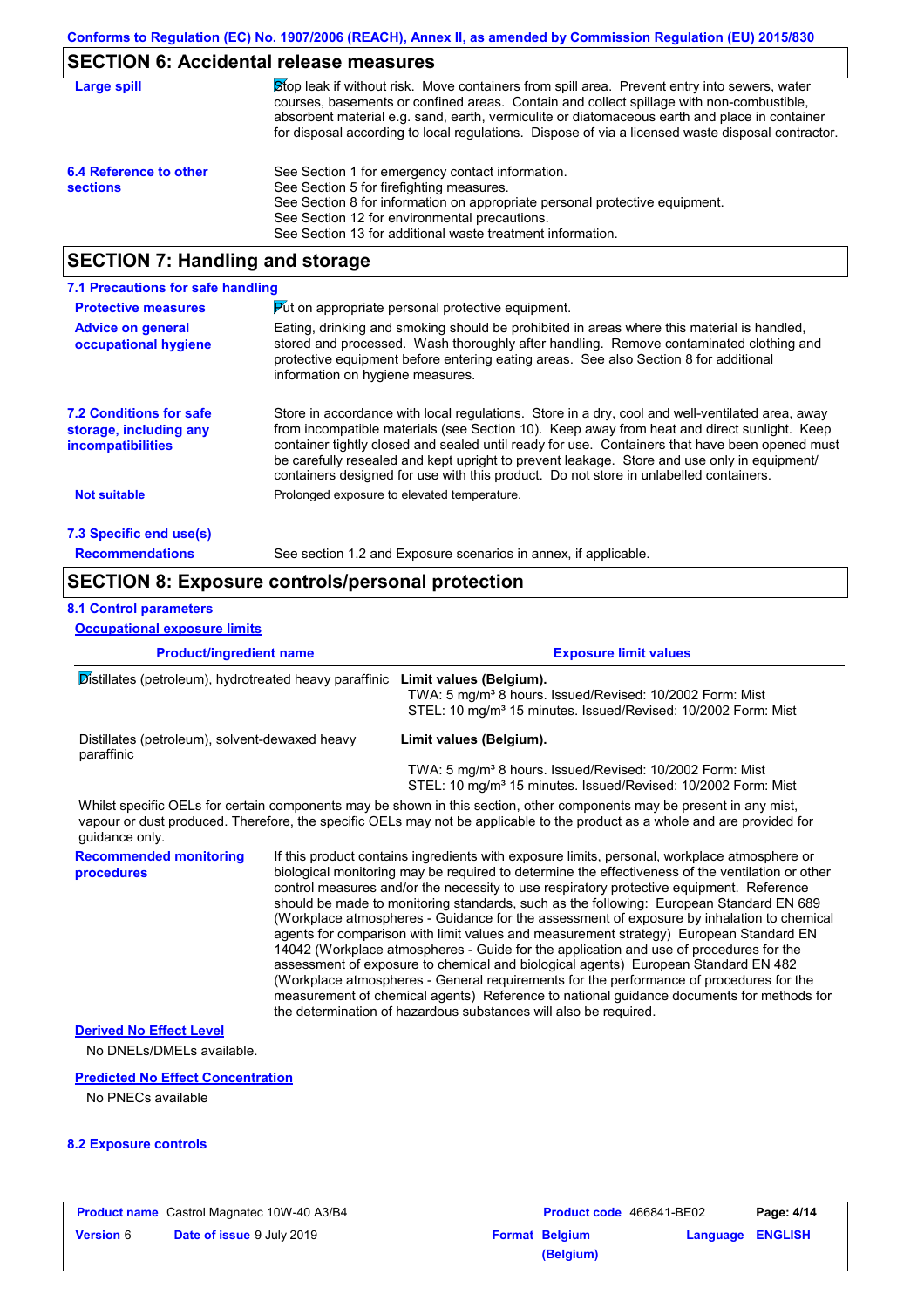## **SECTION 6: Accidental release measures**

| Large spill                               | Stop leak if without risk. Move containers from spill area. Prevent entry into sewers, water<br>courses, basements or confined areas. Contain and collect spillage with non-combustible,<br>absorbent material e.g. sand, earth, vermiculite or diatomaceous earth and place in container<br>for disposal according to local regulations. Dispose of via a licensed waste disposal contractor. |
|-------------------------------------------|------------------------------------------------------------------------------------------------------------------------------------------------------------------------------------------------------------------------------------------------------------------------------------------------------------------------------------------------------------------------------------------------|
| 6.4 Reference to other<br><b>sections</b> | See Section 1 for emergency contact information.<br>See Section 5 for firefighting measures.<br>See Section 8 for information on appropriate personal protective equipment.<br>See Section 12 for environmental precautions.<br>See Section 13 for additional waste treatment information.                                                                                                     |

# **SECTION 7: Handling and storage**

| 7.1 Precautions for safe handling                                                    |                                                                                                                                                                                                                                                                                                                                                                                                                                                                                          |
|--------------------------------------------------------------------------------------|------------------------------------------------------------------------------------------------------------------------------------------------------------------------------------------------------------------------------------------------------------------------------------------------------------------------------------------------------------------------------------------------------------------------------------------------------------------------------------------|
| <b>Protective measures</b>                                                           | <b>Put on appropriate personal protective equipment.</b>                                                                                                                                                                                                                                                                                                                                                                                                                                 |
| <b>Advice on general</b><br>occupational hygiene                                     | Eating, drinking and smoking should be prohibited in areas where this material is handled.<br>stored and processed. Wash thoroughly after handling. Remove contaminated clothing and<br>protective equipment before entering eating areas. See also Section 8 for additional<br>information on hygiene measures.                                                                                                                                                                         |
| <b>7.2 Conditions for safe</b><br>storage, including any<br><i>incompatibilities</i> | Store in accordance with local requiations. Store in a dry, cool and well-ventilated area, away<br>from incompatible materials (see Section 10). Keep away from heat and direct sunlight. Keep<br>container tightly closed and sealed until ready for use. Containers that have been opened must<br>be carefully resealed and kept upright to prevent leakage. Store and use only in equipment/<br>containers designed for use with this product. Do not store in unlabelled containers. |
| Not suitable                                                                         | Prolonged exposure to elevated temperature.                                                                                                                                                                                                                                                                                                                                                                                                                                              |
| 7.3 Specific end use(s)                                                              |                                                                                                                                                                                                                                                                                                                                                                                                                                                                                          |
| <b>Recommendations</b>                                                               | See section 1.2 and Exposure scenarios in annex, if applicable.                                                                                                                                                                                                                                                                                                                                                                                                                          |

## **SECTION 8: Exposure controls/personal protection**

### **8.1 Control parameters**

**Occupational exposure limits**

| <b>Product/ingredient name</b>                               |                                                                                                                                                                                                                                                                                                                                                                                                                                                                                                                                                                                                                                                                                                                                                                                                                                                                                                                                                                                                                            | <b>Exposure limit values</b>                                                                                                                                                                                                                         |  |  |
|--------------------------------------------------------------|----------------------------------------------------------------------------------------------------------------------------------------------------------------------------------------------------------------------------------------------------------------------------------------------------------------------------------------------------------------------------------------------------------------------------------------------------------------------------------------------------------------------------------------------------------------------------------------------------------------------------------------------------------------------------------------------------------------------------------------------------------------------------------------------------------------------------------------------------------------------------------------------------------------------------------------------------------------------------------------------------------------------------|------------------------------------------------------------------------------------------------------------------------------------------------------------------------------------------------------------------------------------------------------|--|--|
| Distillates (petroleum), hydrotreated heavy paraffinic       |                                                                                                                                                                                                                                                                                                                                                                                                                                                                                                                                                                                                                                                                                                                                                                                                                                                                                                                                                                                                                            | Limit values (Belgium).<br>TWA: 5 mg/m <sup>3</sup> 8 hours. Issued/Revised: 10/2002 Form: Mist<br>STEL: 10 mg/m <sup>3</sup> 15 minutes. Issued/Revised: 10/2002 Form: Mist                                                                         |  |  |
| Distillates (petroleum), solvent-dewaxed heavy<br>paraffinic |                                                                                                                                                                                                                                                                                                                                                                                                                                                                                                                                                                                                                                                                                                                                                                                                                                                                                                                                                                                                                            | Limit values (Belgium).<br>TWA: 5 mg/m <sup>3</sup> 8 hours. Issued/Revised: 10/2002 Form: Mist<br>STEL: 10 mg/m <sup>3</sup> 15 minutes. Issued/Revised: 10/2002 Form: Mist                                                                         |  |  |
| guidance only.                                               |                                                                                                                                                                                                                                                                                                                                                                                                                                                                                                                                                                                                                                                                                                                                                                                                                                                                                                                                                                                                                            | Whilst specific OELs for certain components may be shown in this section, other components may be present in any mist,<br>vapour or dust produced. Therefore, the specific OELs may not be applicable to the product as a whole and are provided for |  |  |
| <b>Recommended monitoring</b><br>procedures                  | If this product contains ingredients with exposure limits, personal, workplace atmosphere or<br>biological monitoring may be required to determine the effectiveness of the ventilation or other<br>control measures and/or the necessity to use respiratory protective equipment. Reference<br>should be made to monitoring standards, such as the following: European Standard EN 689<br>(Workplace atmospheres - Guidance for the assessment of exposure by inhalation to chemical<br>agents for comparison with limit values and measurement strategy) European Standard EN<br>14042 (Workplace atmospheres - Guide for the application and use of procedures for the<br>assessment of exposure to chemical and biological agents) European Standard EN 482<br>(Workplace atmospheres - General requirements for the performance of procedures for the<br>measurement of chemical agents) Reference to national guidance documents for methods for<br>the determination of hazardous substances will also be required. |                                                                                                                                                                                                                                                      |  |  |
| <b>Derived No Effect Level</b><br>No DNELs/DMELs available.  |                                                                                                                                                                                                                                                                                                                                                                                                                                                                                                                                                                                                                                                                                                                                                                                                                                                                                                                                                                                                                            |                                                                                                                                                                                                                                                      |  |  |
|                                                              |                                                                                                                                                                                                                                                                                                                                                                                                                                                                                                                                                                                                                                                                                                                                                                                                                                                                                                                                                                                                                            |                                                                                                                                                                                                                                                      |  |  |

### **Predicted No Effect Concentration**

No PNECs available

### **8.2 Exposure controls**

| <b>Product name</b> Castrol Magnatec 10W-40 A3/B4 |                                  | <b>Product code</b> 466841-BE02 |                       | Page: 4/14              |  |
|---------------------------------------------------|----------------------------------|---------------------------------|-----------------------|-------------------------|--|
| <b>Version 6</b>                                  | <b>Date of issue 9 July 2019</b> |                                 | <b>Format Belgium</b> | <b>Language ENGLISH</b> |  |
|                                                   |                                  |                                 | (Belgium)             |                         |  |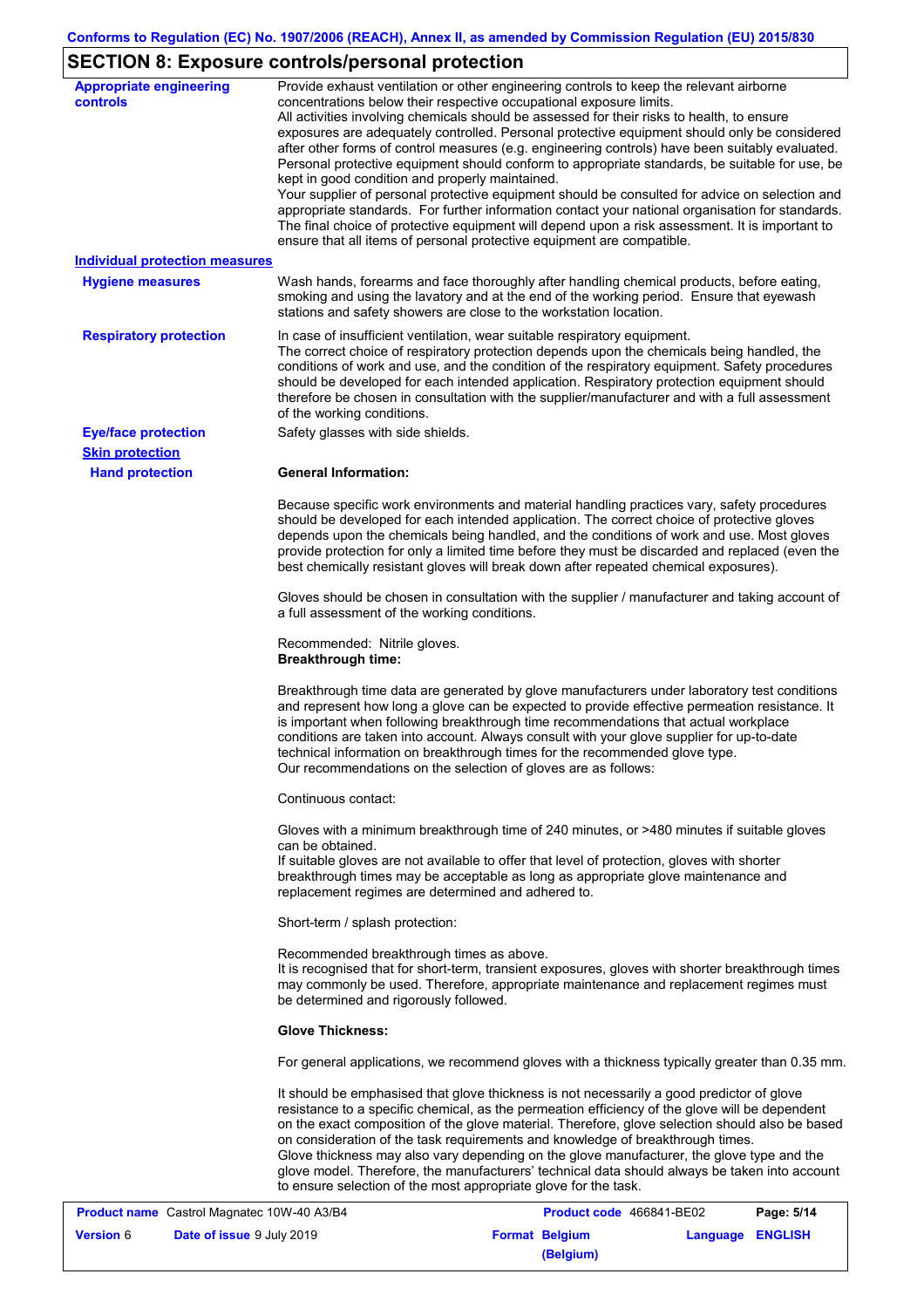# **SECTION 8: Exposure controls/personal protection**

| <b>Appropriate engineering</b><br><b>controls</b> | Provide exhaust ventilation or other engineering controls to keep the relevant airborne<br>concentrations below their respective occupational exposure limits.<br>All activities involving chemicals should be assessed for their risks to health, to ensure<br>exposures are adequately controlled. Personal protective equipment should only be considered<br>after other forms of control measures (e.g. engineering controls) have been suitably evaluated.<br>Personal protective equipment should conform to appropriate standards, be suitable for use, be<br>kept in good condition and properly maintained.<br>Your supplier of personal protective equipment should be consulted for advice on selection and<br>appropriate standards. For further information contact your national organisation for standards.<br>The final choice of protective equipment will depend upon a risk assessment. It is important to<br>ensure that all items of personal protective equipment are compatible. |
|---------------------------------------------------|---------------------------------------------------------------------------------------------------------------------------------------------------------------------------------------------------------------------------------------------------------------------------------------------------------------------------------------------------------------------------------------------------------------------------------------------------------------------------------------------------------------------------------------------------------------------------------------------------------------------------------------------------------------------------------------------------------------------------------------------------------------------------------------------------------------------------------------------------------------------------------------------------------------------------------------------------------------------------------------------------------|
| <b>Individual protection measures</b>             |                                                                                                                                                                                                                                                                                                                                                                                                                                                                                                                                                                                                                                                                                                                                                                                                                                                                                                                                                                                                         |
| <b>Hygiene measures</b>                           | Wash hands, forearms and face thoroughly after handling chemical products, before eating,<br>smoking and using the lavatory and at the end of the working period. Ensure that eyewash<br>stations and safety showers are close to the workstation location.                                                                                                                                                                                                                                                                                                                                                                                                                                                                                                                                                                                                                                                                                                                                             |
| <b>Respiratory protection</b>                     | In case of insufficient ventilation, wear suitable respiratory equipment.<br>The correct choice of respiratory protection depends upon the chemicals being handled, the<br>conditions of work and use, and the condition of the respiratory equipment. Safety procedures<br>should be developed for each intended application. Respiratory protection equipment should<br>therefore be chosen in consultation with the supplier/manufacturer and with a full assessment<br>of the working conditions.                                                                                                                                                                                                                                                                                                                                                                                                                                                                                                   |
| <b>Eye/face protection</b>                        | Safety glasses with side shields.                                                                                                                                                                                                                                                                                                                                                                                                                                                                                                                                                                                                                                                                                                                                                                                                                                                                                                                                                                       |
| <b>Skin protection</b>                            |                                                                                                                                                                                                                                                                                                                                                                                                                                                                                                                                                                                                                                                                                                                                                                                                                                                                                                                                                                                                         |
| <b>Hand protection</b>                            | <b>General Information:</b>                                                                                                                                                                                                                                                                                                                                                                                                                                                                                                                                                                                                                                                                                                                                                                                                                                                                                                                                                                             |
|                                                   | Because specific work environments and material handling practices vary, safety procedures<br>should be developed for each intended application. The correct choice of protective gloves<br>depends upon the chemicals being handled, and the conditions of work and use. Most gloves<br>provide protection for only a limited time before they must be discarded and replaced (even the<br>best chemically resistant gloves will break down after repeated chemical exposures).                                                                                                                                                                                                                                                                                                                                                                                                                                                                                                                        |
|                                                   | Gloves should be chosen in consultation with the supplier / manufacturer and taking account of<br>a full assessment of the working conditions.                                                                                                                                                                                                                                                                                                                                                                                                                                                                                                                                                                                                                                                                                                                                                                                                                                                          |
|                                                   | Recommended: Nitrile gloves.<br><b>Breakthrough time:</b>                                                                                                                                                                                                                                                                                                                                                                                                                                                                                                                                                                                                                                                                                                                                                                                                                                                                                                                                               |
|                                                   | Breakthrough time data are generated by glove manufacturers under laboratory test conditions<br>and represent how long a glove can be expected to provide effective permeation resistance. It<br>is important when following breakthrough time recommendations that actual workplace<br>conditions are taken into account. Always consult with your glove supplier for up-to-date<br>technical information on breakthrough times for the recommended glove type.<br>Our recommendations on the selection of gloves are as follows:                                                                                                                                                                                                                                                                                                                                                                                                                                                                      |
|                                                   | Continuous contact:                                                                                                                                                                                                                                                                                                                                                                                                                                                                                                                                                                                                                                                                                                                                                                                                                                                                                                                                                                                     |
|                                                   | Gloves with a minimum breakthrough time of 240 minutes, or >480 minutes if suitable gloves<br>can be obtained.<br>If suitable gloves are not available to offer that level of protection, gloves with shorter<br>breakthrough times may be acceptable as long as appropriate glove maintenance and<br>replacement regimes are determined and adhered to.                                                                                                                                                                                                                                                                                                                                                                                                                                                                                                                                                                                                                                                |
|                                                   | Short-term / splash protection:                                                                                                                                                                                                                                                                                                                                                                                                                                                                                                                                                                                                                                                                                                                                                                                                                                                                                                                                                                         |
|                                                   | Recommended breakthrough times as above.<br>It is recognised that for short-term, transient exposures, gloves with shorter breakthrough times<br>may commonly be used. Therefore, appropriate maintenance and replacement regimes must<br>be determined and rigorously followed.                                                                                                                                                                                                                                                                                                                                                                                                                                                                                                                                                                                                                                                                                                                        |
|                                                   | <b>Glove Thickness:</b>                                                                                                                                                                                                                                                                                                                                                                                                                                                                                                                                                                                                                                                                                                                                                                                                                                                                                                                                                                                 |
|                                                   | For general applications, we recommend gloves with a thickness typically greater than 0.35 mm.                                                                                                                                                                                                                                                                                                                                                                                                                                                                                                                                                                                                                                                                                                                                                                                                                                                                                                          |
|                                                   | It should be emphasised that glove thickness is not necessarily a good predictor of glove<br>resistance to a specific chemical, as the permeation efficiency of the glove will be dependent<br>on the exact composition of the glove material. Therefore, glove selection should also be based<br>on consideration of the task requirements and knowledge of breakthrough times.<br>Glove thickness may also vary depending on the glove manufacturer, the glove type and the<br>glove model. Therefore, the manufacturers' technical data should always be taken into account<br>to ensure selection of the most appropriate glove for the task.                                                                                                                                                                                                                                                                                                                                                       |
| <b>Product name</b> Castrol Magnatec 10W-40 A3/R4 | Product code 466841-RE02<br>Page: 5/14                                                                                                                                                                                                                                                                                                                                                                                                                                                                                                                                                                                                                                                                                                                                                                                                                                                                                                                                                                  |

| <b>Product name</b> Castrol Magnatec 10W-40 A3/B4 |                                  | <b>Product code</b> 466841-BE02 |                       | Page: 5/14              |  |
|---------------------------------------------------|----------------------------------|---------------------------------|-----------------------|-------------------------|--|
| <b>Version 6</b>                                  | <b>Date of issue 9 July 2019</b> |                                 | <b>Format Belgium</b> | <b>Language ENGLISH</b> |  |
|                                                   |                                  |                                 | (Belgium)             |                         |  |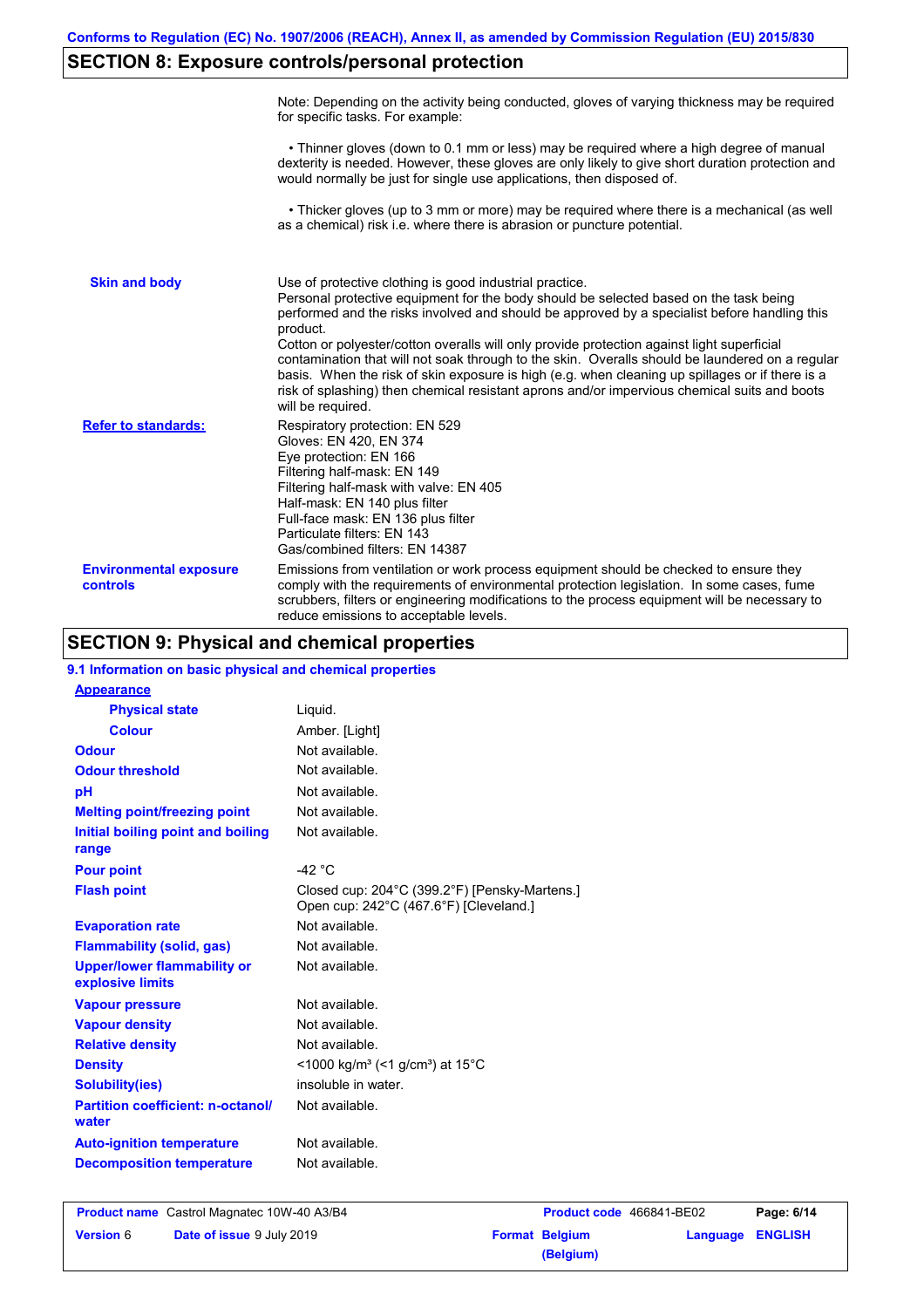# **SECTION 8: Exposure controls/personal protection**

|                                           | Note: Depending on the activity being conducted, gloves of varying thickness may be required<br>for specific tasks. For example:                                                                                                                                                                                                                                                                                                                                                                                                                                                                                                                                                      |
|-------------------------------------------|---------------------------------------------------------------------------------------------------------------------------------------------------------------------------------------------------------------------------------------------------------------------------------------------------------------------------------------------------------------------------------------------------------------------------------------------------------------------------------------------------------------------------------------------------------------------------------------------------------------------------------------------------------------------------------------|
|                                           | • Thinner gloves (down to 0.1 mm or less) may be required where a high degree of manual<br>dexterity is needed. However, these gloves are only likely to give short duration protection and<br>would normally be just for single use applications, then disposed of.                                                                                                                                                                                                                                                                                                                                                                                                                  |
|                                           | • Thicker gloves (up to 3 mm or more) may be required where there is a mechanical (as well<br>as a chemical) risk i.e. where there is abrasion or puncture potential.                                                                                                                                                                                                                                                                                                                                                                                                                                                                                                                 |
| <b>Skin and body</b>                      | Use of protective clothing is good industrial practice.<br>Personal protective equipment for the body should be selected based on the task being<br>performed and the risks involved and should be approved by a specialist before handling this<br>product.<br>Cotton or polyester/cotton overalls will only provide protection against light superficial<br>contamination that will not soak through to the skin. Overalls should be laundered on a regular<br>basis. When the risk of skin exposure is high (e.g. when cleaning up spillages or if there is a<br>risk of splashing) then chemical resistant aprons and/or impervious chemical suits and boots<br>will be required. |
| <b>Refer to standards:</b>                | Respiratory protection: EN 529<br>Gloves: EN 420, EN 374<br>Eye protection: EN 166<br>Filtering half-mask: EN 149<br>Filtering half-mask with valve: EN 405<br>Half-mask: EN 140 plus filter<br>Full-face mask: EN 136 plus filter<br>Particulate filters: EN 143<br>Gas/combined filters: EN 14387                                                                                                                                                                                                                                                                                                                                                                                   |
| <b>Environmental exposure</b><br>controls | Emissions from ventilation or work process equipment should be checked to ensure they<br>comply with the requirements of environmental protection legislation. In some cases, fume<br>scrubbers, filters or engineering modifications to the process equipment will be necessary to<br>reduce emissions to acceptable levels.                                                                                                                                                                                                                                                                                                                                                         |

# **SECTION 9: Physical and chemical properties**

| 9.1 Information on basic physical and chemical properties |                                                                                         |
|-----------------------------------------------------------|-----------------------------------------------------------------------------------------|
| <b>Appearance</b>                                         |                                                                                         |
| <b>Physical state</b>                                     | Liquid.                                                                                 |
| <b>Colour</b>                                             | Amber. [Light]                                                                          |
| <b>Odour</b>                                              | Not available.                                                                          |
| <b>Odour threshold</b>                                    | Not available.                                                                          |
| pH                                                        | Not available.                                                                          |
| <b>Melting point/freezing point</b>                       | Not available.                                                                          |
| Initial boiling point and boiling<br>range                | Not available.                                                                          |
| <b>Pour point</b>                                         | -42 $^{\circ}$ C                                                                        |
| <b>Flash point</b>                                        | Closed cup: 204°C (399.2°F) [Pensky-Martens.]<br>Open cup: 242°C (467.6°F) [Cleveland.] |
| <b>Evaporation rate</b>                                   | Not available.                                                                          |
| <b>Flammability (solid, gas)</b>                          | Not available.                                                                          |
| <b>Upper/lower flammability or</b><br>explosive limits    | Not available.                                                                          |
| <b>Vapour pressure</b>                                    | Not available.                                                                          |
| <b>Vapour density</b>                                     | Not available.                                                                          |
| <b>Relative density</b>                                   | Not available.                                                                          |
| <b>Density</b>                                            | <1000 kg/m <sup>3</sup> (<1 g/cm <sup>3</sup> ) at 15 <sup>°</sup> C                    |
| <b>Solubility(ies)</b>                                    | insoluble in water.                                                                     |
| <b>Partition coefficient: n-octanol/</b><br>water         | Not available.                                                                          |
| <b>Auto-ignition temperature</b>                          | Not available.                                                                          |
| <b>Decomposition temperature</b>                          | Not available.                                                                          |
|                                                           |                                                                                         |

| <b>Product name</b> Castrol Magnatec 10W-40 A3/B4 |                                  | Product code 466841-BE02 |                       | Page: 6/14              |  |
|---------------------------------------------------|----------------------------------|--------------------------|-----------------------|-------------------------|--|
| <b>Version 6</b>                                  | <b>Date of issue 9 July 2019</b> |                          | <b>Format Belgium</b> | <b>Language ENGLISH</b> |  |
|                                                   |                                  |                          | (Belgium)             |                         |  |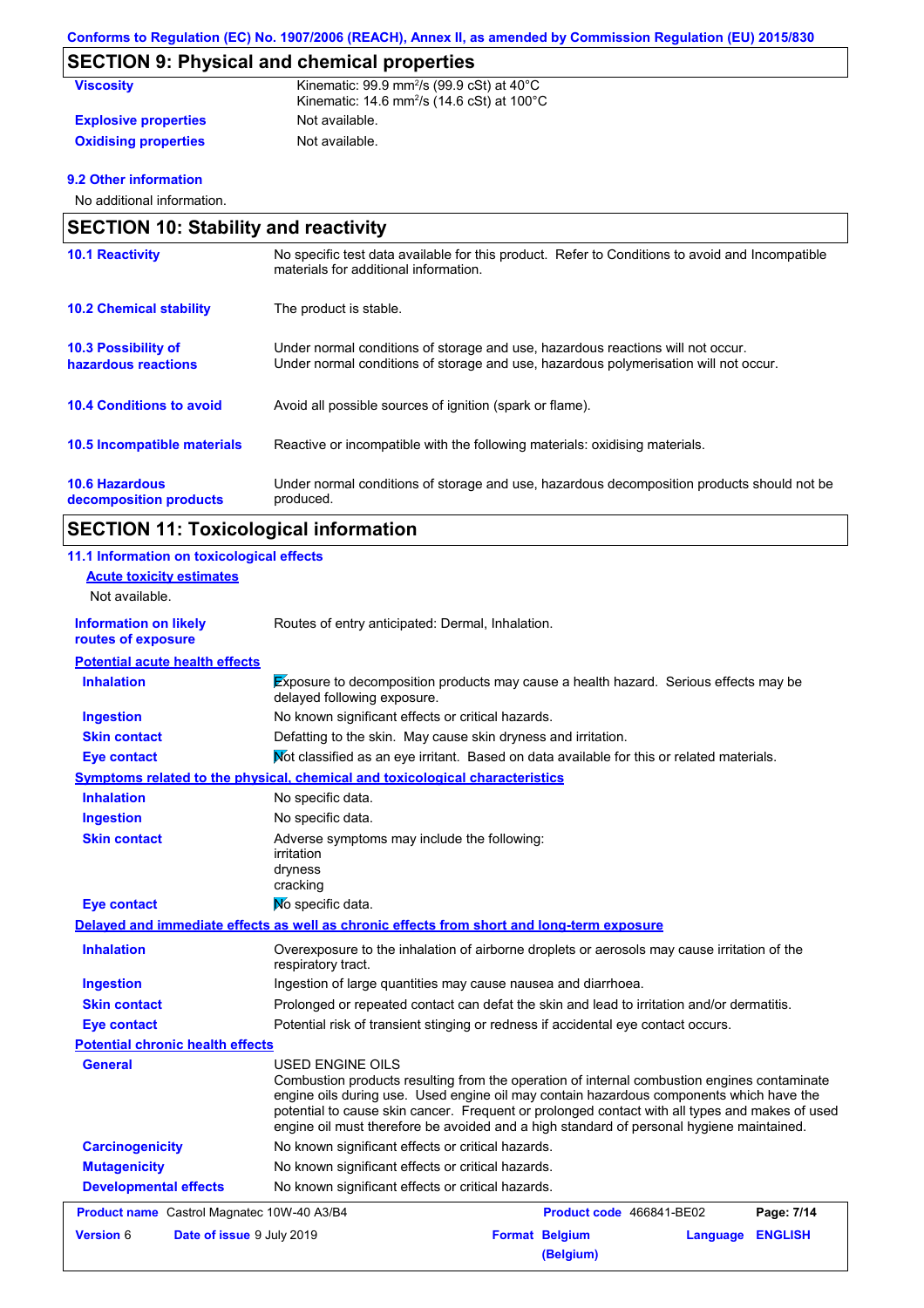# **SECTION 9: Physical and chemical properties**

| <b>Viscosity</b>            | Kinematic: $99.9$ mm <sup>2</sup> /s ( $99.9$ cSt) at $40^{\circ}$ C<br>Kinematic: 14.6 mm <sup>2</sup> /s (14.6 cSt) at 100 $^{\circ}$ C |
|-----------------------------|-------------------------------------------------------------------------------------------------------------------------------------------|
| <b>Explosive properties</b> | Not available.                                                                                                                            |
| <b>Oxidising properties</b> | Not available.                                                                                                                            |

## **9.2 Other information**

No additional information.

| <b>SECTION 10: Stability and reactivity</b>       |                                                                                                                                                                         |  |  |  |
|---------------------------------------------------|-------------------------------------------------------------------------------------------------------------------------------------------------------------------------|--|--|--|
| <b>10.1 Reactivity</b>                            | No specific test data available for this product. Refer to Conditions to avoid and Incompatible<br>materials for additional information.                                |  |  |  |
| <b>10.2 Chemical stability</b>                    | The product is stable.                                                                                                                                                  |  |  |  |
| <b>10.3 Possibility of</b><br>hazardous reactions | Under normal conditions of storage and use, hazardous reactions will not occur.<br>Under normal conditions of storage and use, hazardous polymerisation will not occur. |  |  |  |
| <b>10.4 Conditions to avoid</b>                   | Avoid all possible sources of ignition (spark or flame).                                                                                                                |  |  |  |
| 10.5 Incompatible materials                       | Reactive or incompatible with the following materials: oxidising materials.                                                                                             |  |  |  |
| <b>10.6 Hazardous</b><br>decomposition products   | Under normal conditions of storage and use, hazardous decomposition products should not be<br>produced.                                                                 |  |  |  |

# **SECTION 11: Toxicological information**

| 11.1 Information on toxicological effects          |                                                                                                                                                                                                                                                                                                                                                                                                          |
|----------------------------------------------------|----------------------------------------------------------------------------------------------------------------------------------------------------------------------------------------------------------------------------------------------------------------------------------------------------------------------------------------------------------------------------------------------------------|
| <b>Acute toxicity estimates</b>                    |                                                                                                                                                                                                                                                                                                                                                                                                          |
| Not available.                                     |                                                                                                                                                                                                                                                                                                                                                                                                          |
| <b>Information on likely</b><br>routes of exposure | Routes of entry anticipated: Dermal, Inhalation.                                                                                                                                                                                                                                                                                                                                                         |
| <b>Potential acute health effects</b>              |                                                                                                                                                                                                                                                                                                                                                                                                          |
| <b>Inhalation</b>                                  | <b>Exposure to decomposition products may cause a health hazard.</b> Serious effects may be<br>delayed following exposure.                                                                                                                                                                                                                                                                               |
| <b>Ingestion</b>                                   | No known significant effects or critical hazards.                                                                                                                                                                                                                                                                                                                                                        |
| <b>Skin contact</b>                                | Defatting to the skin. May cause skin dryness and irritation.                                                                                                                                                                                                                                                                                                                                            |
| Eye contact                                        | Mot classified as an eye irritant. Based on data available for this or related materials.                                                                                                                                                                                                                                                                                                                |
|                                                    | Symptoms related to the physical, chemical and toxicological characteristics                                                                                                                                                                                                                                                                                                                             |
| <b>Inhalation</b>                                  | No specific data.                                                                                                                                                                                                                                                                                                                                                                                        |
| <b>Ingestion</b>                                   | No specific data.                                                                                                                                                                                                                                                                                                                                                                                        |
| <b>Skin contact</b>                                | Adverse symptoms may include the following:<br>irritation<br>dryness<br>cracking                                                                                                                                                                                                                                                                                                                         |
| <b>Eye contact</b>                                 | No specific data.                                                                                                                                                                                                                                                                                                                                                                                        |
|                                                    | Delayed and immediate effects as well as chronic effects from short and long-term exposure                                                                                                                                                                                                                                                                                                               |
| <b>Inhalation</b>                                  | Overexposure to the inhalation of airborne droplets or aerosols may cause irritation of the<br>respiratory tract.                                                                                                                                                                                                                                                                                        |
| <b>Ingestion</b>                                   | Ingestion of large quantities may cause nausea and diarrhoea.                                                                                                                                                                                                                                                                                                                                            |
| <b>Skin contact</b>                                | Prolonged or repeated contact can defat the skin and lead to irritation and/or dermatitis.                                                                                                                                                                                                                                                                                                               |
| <b>Eye contact</b>                                 | Potential risk of transient stinging or redness if accidental eye contact occurs.                                                                                                                                                                                                                                                                                                                        |
| <b>Potential chronic health effects</b>            |                                                                                                                                                                                                                                                                                                                                                                                                          |
| <b>General</b>                                     | USED ENGINE OILS<br>Combustion products resulting from the operation of internal combustion engines contaminate<br>engine oils during use. Used engine oil may contain hazardous components which have the<br>potential to cause skin cancer. Frequent or prolonged contact with all types and makes of used<br>engine oil must therefore be avoided and a high standard of personal hygiene maintained. |
| <b>Carcinogenicity</b>                             | No known significant effects or critical hazards.                                                                                                                                                                                                                                                                                                                                                        |
| <b>Mutagenicity</b>                                | No known significant effects or critical hazards.                                                                                                                                                                                                                                                                                                                                                        |
| <b>Developmental effects</b>                       | No known significant effects or critical hazards.                                                                                                                                                                                                                                                                                                                                                        |
| Product name Castrol Magnatec 10W-40 A3/B4         | Page: 7/14<br>Product code 466841-BE02                                                                                                                                                                                                                                                                                                                                                                   |
| <b>Version 6</b><br>Date of issue 9 July 2019      | <b>Format Belgium</b><br><b>ENGLISH</b><br><b>Language</b><br>(Belgium)                                                                                                                                                                                                                                                                                                                                  |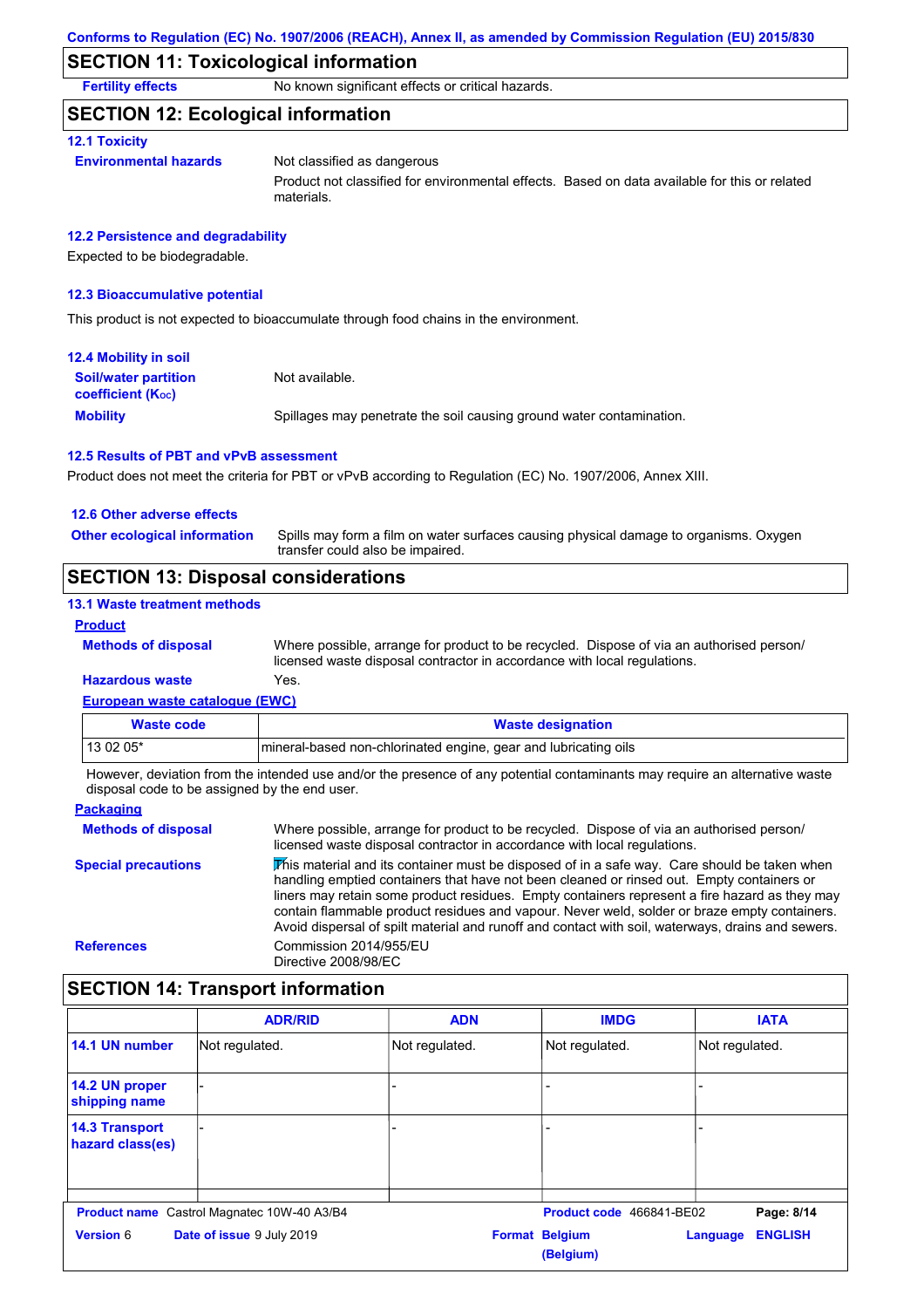## **SECTION 11: Toxicological information**

**Fertility effects** No known significant effects or critical hazards.

### **SECTION 12: Ecological information**

#### **12.1 Toxicity**

**Environmental hazards** Not classified as dangerous

Product not classified for environmental effects. Based on data available for this or related materials.

#### **12.2 Persistence and degradability**

Expected to be biodegradable.

#### **12.3 Bioaccumulative potential**

This product is not expected to bioaccumulate through food chains in the environment.

| <b>12.4 Mobility in soil</b>                            |                                                                      |
|---------------------------------------------------------|----------------------------------------------------------------------|
| <b>Soil/water partition</b><br><b>coefficient (Koc)</b> | Not available.                                                       |
| <b>Mobility</b>                                         | Spillages may penetrate the soil causing ground water contamination. |

#### **12.5 Results of PBT and vPvB assessment**

Product does not meet the criteria for PBT or vPvB according to Regulation (EC) No. 1907/2006, Annex XIII.

#### **12.6 Other adverse effects**

**Other ecological information**

Spills may form a film on water surfaces causing physical damage to organisms. Oxygen transfer could also be impaired.

## **SECTION 13: Disposal considerations**

### **13.1 Waste treatment methods**

#### **Product**

Where possible, arrange for product to be recycled. Dispose of via an authorised person/ licensed waste disposal contractor in accordance with local regulations.

## **Hazardous waste** Yes.

**Methods of disposal**

| European waste cataloque (EWC) |                                                                 |  |
|--------------------------------|-----------------------------------------------------------------|--|
| Waste code                     | <b>Waste designation</b>                                        |  |
| 13 02 05*                      | mineral-based non-chlorinated engine, gear and lubricating oils |  |

However, deviation from the intended use and/or the presence of any potential contaminants may require an alternative waste disposal code to be assigned by the end user.

#### **Packaging Methods of disposal Special precautions** Where possible, arrange for product to be recycled. Dispose of via an authorised person/ licensed waste disposal contractor in accordance with local regulations.  $\overline{\mathbf{F}}$ his material and its container must be disposed of in a safe way. Care should be taken when handling emptied containers that have not been cleaned or rinsed out. Empty containers or liners may retain some product residues. Empty containers represent a fire hazard as they may contain flammable product residues and vapour. Never weld, solder or braze empty containers. Avoid dispersal of spilt material and runoff and contact with soil, waterways, drains and sewers. **References** Commission 2014/955/EU Directive 2008/98/EC

## **SECTION 14: Transport information**

|                                           | <b>ADR/RID</b>                                    | <b>ADN</b>     | <b>IMDG</b>                        | <b>IATA</b>                |
|-------------------------------------------|---------------------------------------------------|----------------|------------------------------------|----------------------------|
| 14.1 UN number                            | Not regulated.                                    | Not regulated. | Not regulated.                     | Not regulated.             |
| 14.2 UN proper<br>shipping name           |                                                   |                |                                    |                            |
| <b>14.3 Transport</b><br>hazard class(es) |                                                   |                |                                    |                            |
|                                           | <b>Product name</b> Castrol Magnatec 10W-40 A3/B4 |                | Product code 466841-BE02           | Page: 8/14                 |
| <b>Version 6</b>                          | Date of issue 9 July 2019                         |                | <b>Format Belgium</b><br>(Belgium) | <b>ENGLISH</b><br>Language |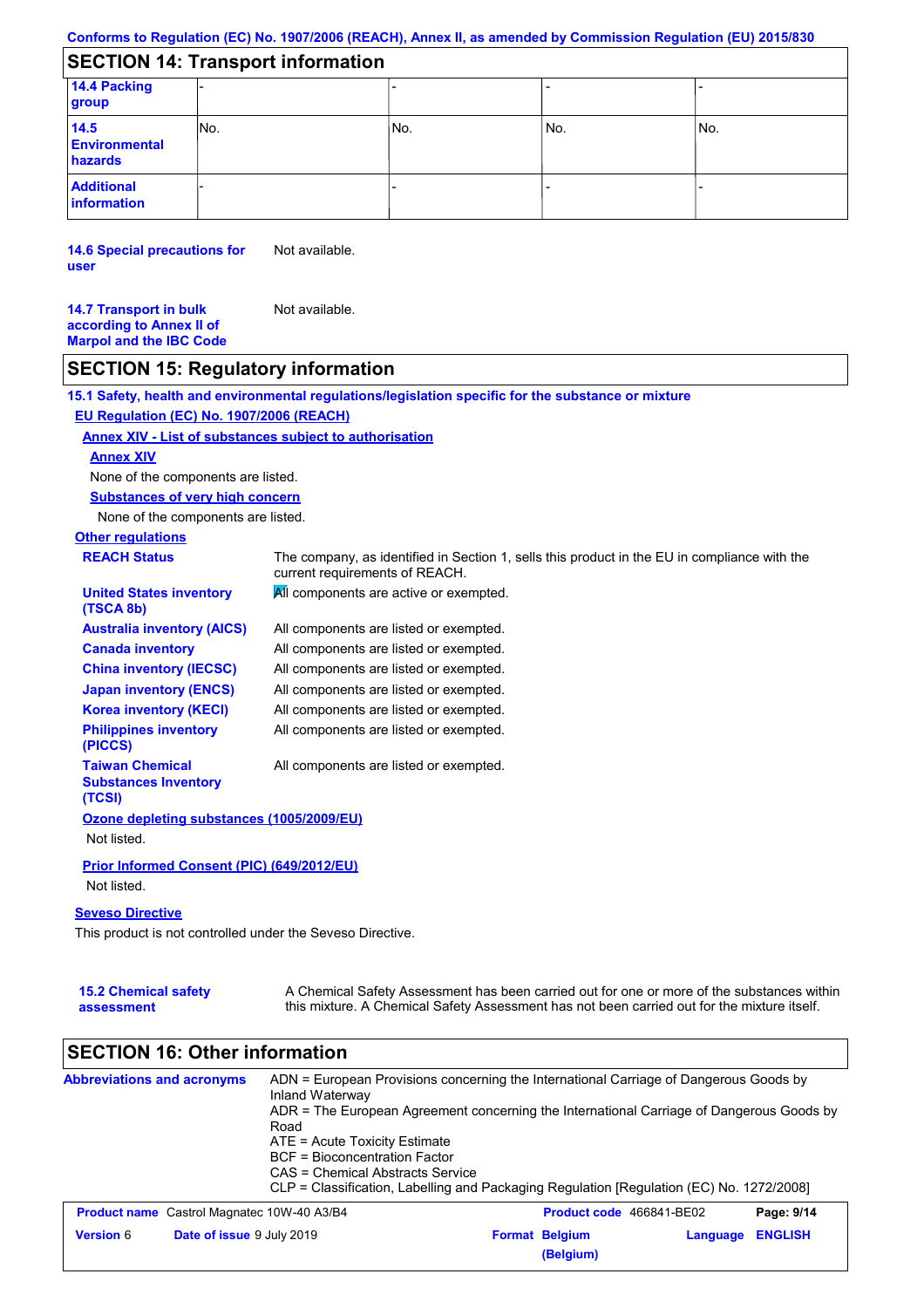# **SECTION 14: Transport information**

| 14.4 Packing<br>group                   |      |     |     |      |
|-----------------------------------------|------|-----|-----|------|
| 14.5<br><b>Environmental</b><br>hazards | INo. | No. | No. | lNo. |
| <b>Additional</b><br>information        |      |     |     |      |

**14.6 Special precautions for user** Not available.

**14.7 Transport in bulk according to Annex II of Marpol and the IBC Code** Not available.

## **SECTION 15: Regulatory information**

**15.1 Safety, health and environmental regulations/legislation specific for the substance or mixture**

### **EU Regulation (EC) No. 1907/2006 (REACH)**

### **Annex XIV - List of substances subject to authorisation**

#### **Annex XIV**

None of the components are listed.

**Substances of very high concern**

None of the components are listed.

# **Other regulations**

| <b>REACH Status</b>                                             | The company, as identified in Section 1, sells this product in the EU in compliance with the<br>current requirements of REACH. |
|-----------------------------------------------------------------|--------------------------------------------------------------------------------------------------------------------------------|
| <b>United States inventory</b><br>(TSCA 8b)                     | All components are active or exempted.                                                                                         |
| <b>Australia inventory (AICS)</b>                               | All components are listed or exempted.                                                                                         |
| <b>Canada inventory</b>                                         | All components are listed or exempted.                                                                                         |
| <b>China inventory (IECSC)</b>                                  | All components are listed or exempted.                                                                                         |
| <b>Japan inventory (ENCS)</b>                                   | All components are listed or exempted.                                                                                         |
| <b>Korea inventory (KECI)</b>                                   | All components are listed or exempted.                                                                                         |
| <b>Philippines inventory</b><br>(PICCS)                         | All components are listed or exempted.                                                                                         |
| <b>Taiwan Chemical</b><br><b>Substances Inventory</b><br>(TCSI) | All components are listed or exempted.                                                                                         |
| Ozone depleting substances (1005/2009/EU)                       |                                                                                                                                |
| Not listed.                                                     |                                                                                                                                |
| Prior Informed Consent (PIC) (649/2012/EU)                      |                                                                                                                                |
| Not listed.                                                     |                                                                                                                                |

#### **Seveso Directive**

This product is not controlled under the Seveso Directive.

| <b>15.2 Chemical safety</b> | A Chemical Safety Assessment has been carried out for one or more of the substances within  |
|-----------------------------|---------------------------------------------------------------------------------------------|
| assessment                  | this mixture. A Chemical Safety Assessment has not been carried out for the mixture itself. |

## **SECTION 16: Other information**

| <b>Abbreviations and acronyms</b> |                                                   | ADN = European Provisions concerning the International Carriage of Dangerous Goods by<br>Inland Waterway<br>ADR = The European Agreement concerning the International Carriage of Dangerous Goods by<br>Road<br>ATE = Acute Toxicity Estimate<br>BCF = Bioconcentration Factor<br>CAS = Chemical Abstracts Service<br>CLP = Classification, Labelling and Packaging Regulation [Regulation (EC) No. 1272/2008] |                                    |          |                |
|-----------------------------------|---------------------------------------------------|----------------------------------------------------------------------------------------------------------------------------------------------------------------------------------------------------------------------------------------------------------------------------------------------------------------------------------------------------------------------------------------------------------------|------------------------------------|----------|----------------|
|                                   | <b>Product name</b> Castrol Magnatec 10W-40 A3/B4 |                                                                                                                                                                                                                                                                                                                                                                                                                | <b>Product code</b> 466841-BE02    |          | Page: 9/14     |
| <b>Version 6</b>                  | Date of issue 9 July 2019                         |                                                                                                                                                                                                                                                                                                                                                                                                                | <b>Format Belgium</b><br>(Belgium) | Language | <b>ENGLISH</b> |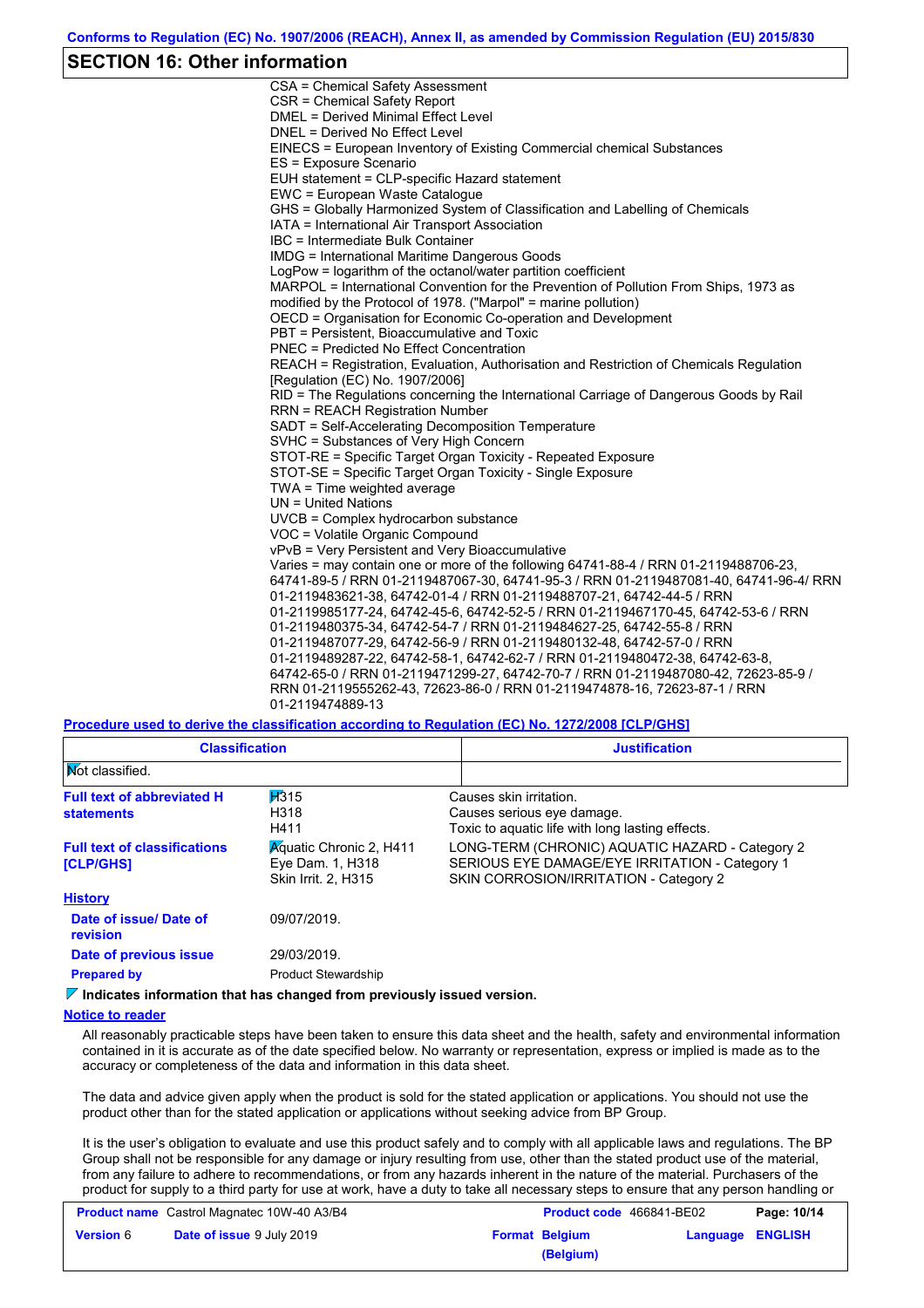## **SECTION 16: Other information**

CSA = Chemical Safety Assessment CSR = Chemical Safety Report DMEL = Derived Minimal Effect Level DNEL = Derived No Effect Level EINECS = European Inventory of Existing Commercial chemical Substances ES = Exposure Scenario EUH statement = CLP-specific Hazard statement EWC = European Waste Catalogue GHS = Globally Harmonized System of Classification and Labelling of Chemicals IATA = International Air Transport Association IBC = Intermediate Bulk Container IMDG = International Maritime Dangerous Goods LogPow = logarithm of the octanol/water partition coefficient MARPOL = International Convention for the Prevention of Pollution From Ships, 1973 as modified by the Protocol of 1978. ("Marpol" = marine pollution) OECD = Organisation for Economic Co-operation and Development PBT = Persistent, Bioaccumulative and Toxic PNEC = Predicted No Effect Concentration REACH = Registration, Evaluation, Authorisation and Restriction of Chemicals Regulation [Regulation (EC) No. 1907/2006] RID = The Regulations concerning the International Carriage of Dangerous Goods by Rail RRN = REACH Registration Number SADT = Self-Accelerating Decomposition Temperature SVHC = Substances of Very High Concern STOT-RE = Specific Target Organ Toxicity - Repeated Exposure STOT-SE = Specific Target Organ Toxicity - Single Exposure TWA = Time weighted average UN = United Nations UVCB = Complex hydrocarbon substance VOC = Volatile Organic Compound vPvB = Very Persistent and Very Bioaccumulative Varies = may contain one or more of the following 64741-88-4 / RRN 01-2119488706-23, 64741-89-5 / RRN 01-2119487067-30, 64741-95-3 / RRN 01-2119487081-40, 64741-96-4/ RRN 01-2119483621-38, 64742-01-4 / RRN 01-2119488707-21, 64742-44-5 / RRN 01-2119985177-24, 64742-45-6, 64742-52-5 / RRN 01-2119467170-45, 64742-53-6 / RRN 01-2119480375-34, 64742-54-7 / RRN 01-2119484627-25, 64742-55-8 / RRN 01-2119487077-29, 64742-56-9 / RRN 01-2119480132-48, 64742-57-0 / RRN 01-2119489287-22, 64742-58-1, 64742-62-7 / RRN 01-2119480472-38, 64742-63-8, 64742-65-0 / RRN 01-2119471299-27, 64742-70-7 / RRN 01-2119487080-42, 72623-85-9 / RRN 01-2119555262-43, 72623-86-0 / RRN 01-2119474878-16, 72623-87-1 / RRN 01-2119474889-13

**Procedure used to derive the classification according to Regulation (EC) No. 1272/2008 [CLP/GHS]**

| <b>Classification</b>                                   |                                                                                                       | <b>Justification</b>                                                                                                                        |
|---------------------------------------------------------|-------------------------------------------------------------------------------------------------------|---------------------------------------------------------------------------------------------------------------------------------------------|
| <b>Not classified.</b>                                  |                                                                                                       |                                                                                                                                             |
| <b>Full text of abbreviated H</b><br><b>statements</b>  | H315<br>H318<br>H411                                                                                  | Causes skin irritation.<br>Causes serious eye damage.<br>Toxic to aquatic life with long lasting effects.                                   |
| <b>Full text of classifications</b><br><b>[CLP/GHS]</b> | <b>Aguatic Chronic 2, H411</b><br>Eye Dam. 1, H318<br><b>Skin Irrit. 2. H315</b>                      | LONG-TERM (CHRONIC) AQUATIC HAZARD - Category 2<br>SERIOUS EYE DAMAGE/EYE IRRITATION - Category 1<br>SKIN CORROSION/IRRITATION - Category 2 |
| <b>History</b>                                          |                                                                                                       |                                                                                                                                             |
| Date of issue/Date of<br>revision                       | 09/07/2019.                                                                                           |                                                                                                                                             |
| Date of previous issue                                  | 29/03/2019.                                                                                           |                                                                                                                                             |
| <b>Prepared by</b>                                      | <b>Product Stewardship</b>                                                                            |                                                                                                                                             |
|                                                         | Villa di antara in famoretta netta della characcia della contrara di controllo in controllo controllo |                                                                                                                                             |

**Indicates information that has changed from previously issued version.**

#### **Notice to reader**

All reasonably practicable steps have been taken to ensure this data sheet and the health, safety and environmental information contained in it is accurate as of the date specified below. No warranty or representation, express or implied is made as to the accuracy or completeness of the data and information in this data sheet.

The data and advice given apply when the product is sold for the stated application or applications. You should not use the product other than for the stated application or applications without seeking advice from BP Group.

It is the user's obligation to evaluate and use this product safely and to comply with all applicable laws and regulations. The BP Group shall not be responsible for any damage or injury resulting from use, other than the stated product use of the material, from any failure to adhere to recommendations, or from any hazards inherent in the nature of the material. Purchasers of the product for supply to a third party for use at work, have a duty to take all necessary steps to ensure that any person handling or

| <b>Product name</b> Castrol Magnatec 10W-40 A3/B4 |                                  | Product code 466841-BE02 |                       | Page: 10/14      |  |
|---------------------------------------------------|----------------------------------|--------------------------|-----------------------|------------------|--|
| <b>Version 6</b>                                  | <b>Date of issue 9 July 2019</b> |                          | <b>Format Belgium</b> | Language ENGLISH |  |
|                                                   |                                  |                          | (Belgium)             |                  |  |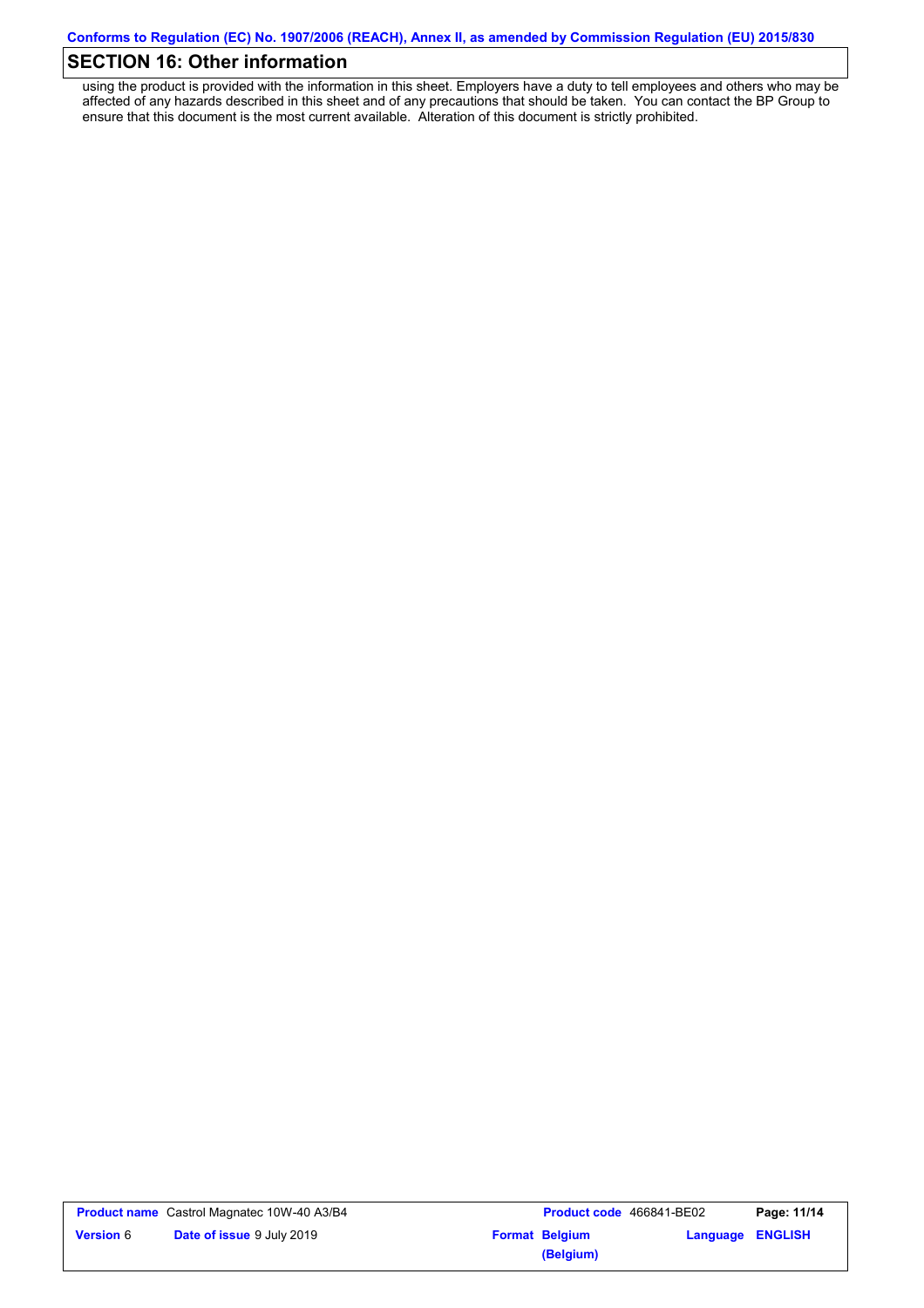## **SECTION 16: Other information**

using the product is provided with the information in this sheet. Employers have a duty to tell employees and others who may be affected of any hazards described in this sheet and of any precautions that should be taken. You can contact the BP Group to ensure that this document is the most current available. Alteration of this document is strictly prohibited.

|                  | <b>Product name</b> Castrol Magnatec 10W-40 A3/B4 |
|------------------|---------------------------------------------------|
| <b>Version 6</b> | <b>Date of issue 9 July 2019</b>                  |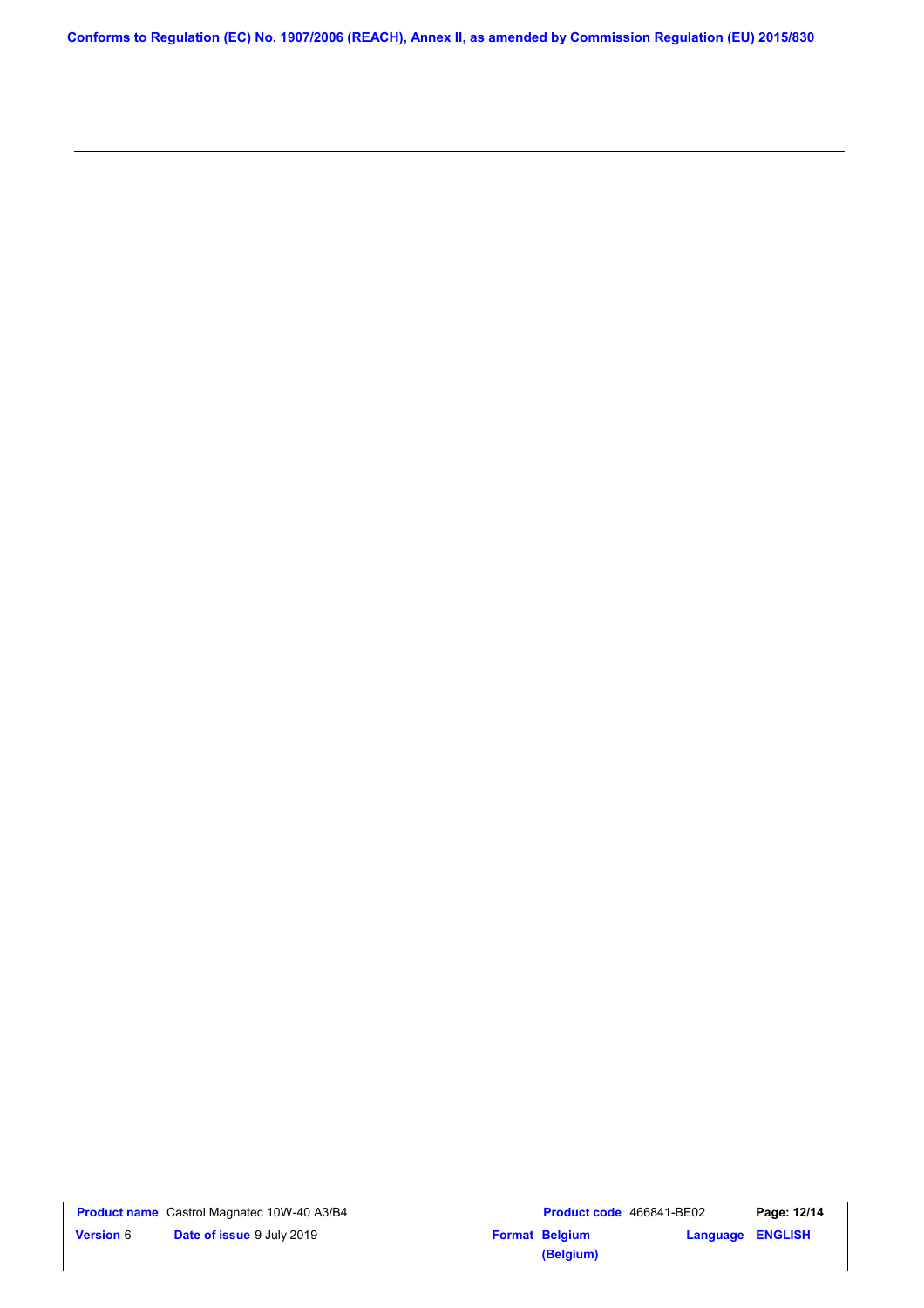|                  | <b>Product name</b> Castrol Magnatec 10W-40 A3/B4 |
|------------------|---------------------------------------------------|
| <b>Version 6</b> | <b>Date of issue 9 July 2019</b>                  |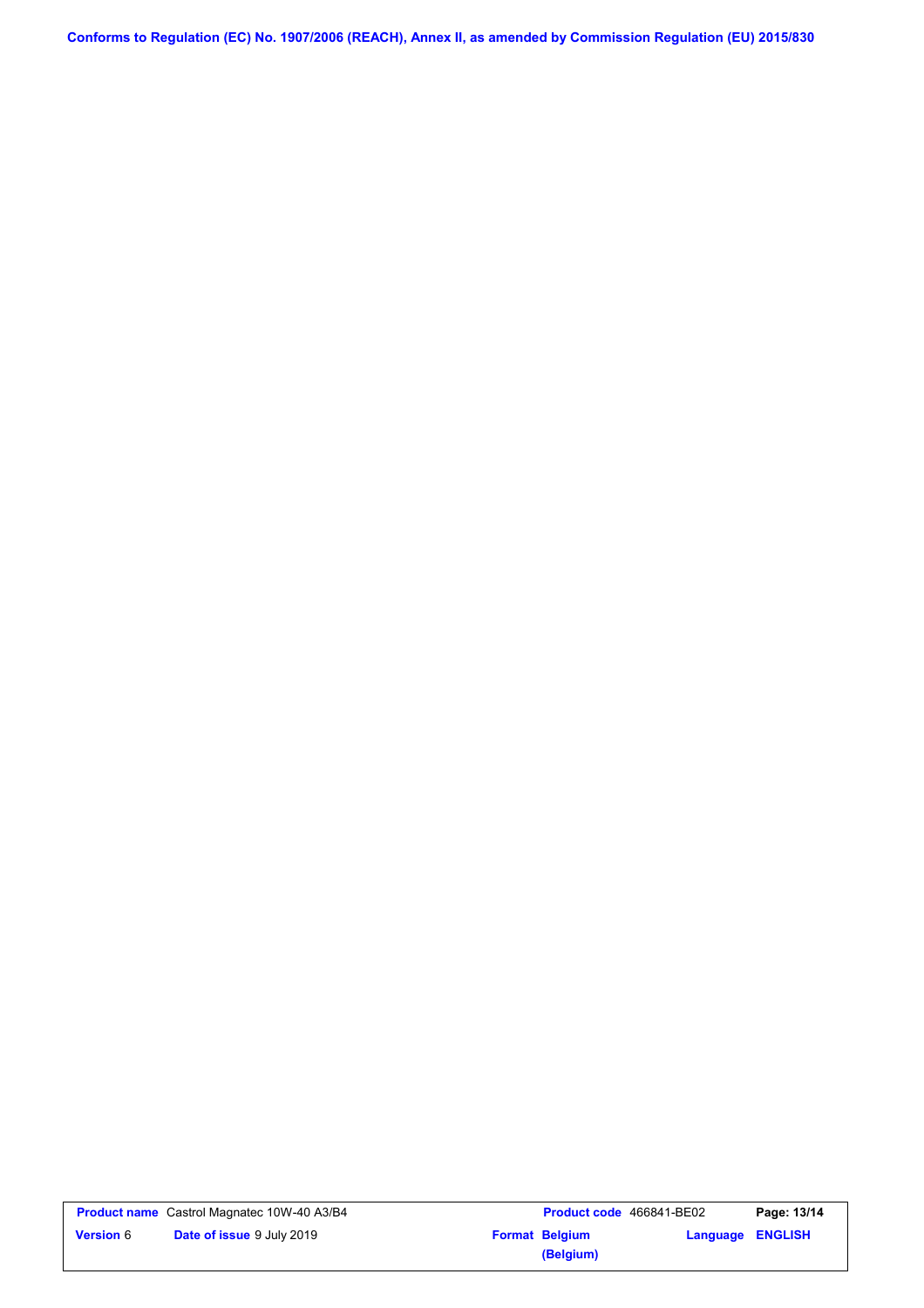|                  | <b>Product name</b> Castrol Magnatec 10W-40 A3/B4 |
|------------------|---------------------------------------------------|
| <b>Version 6</b> | <b>Date of issue 9 July 2019</b>                  |